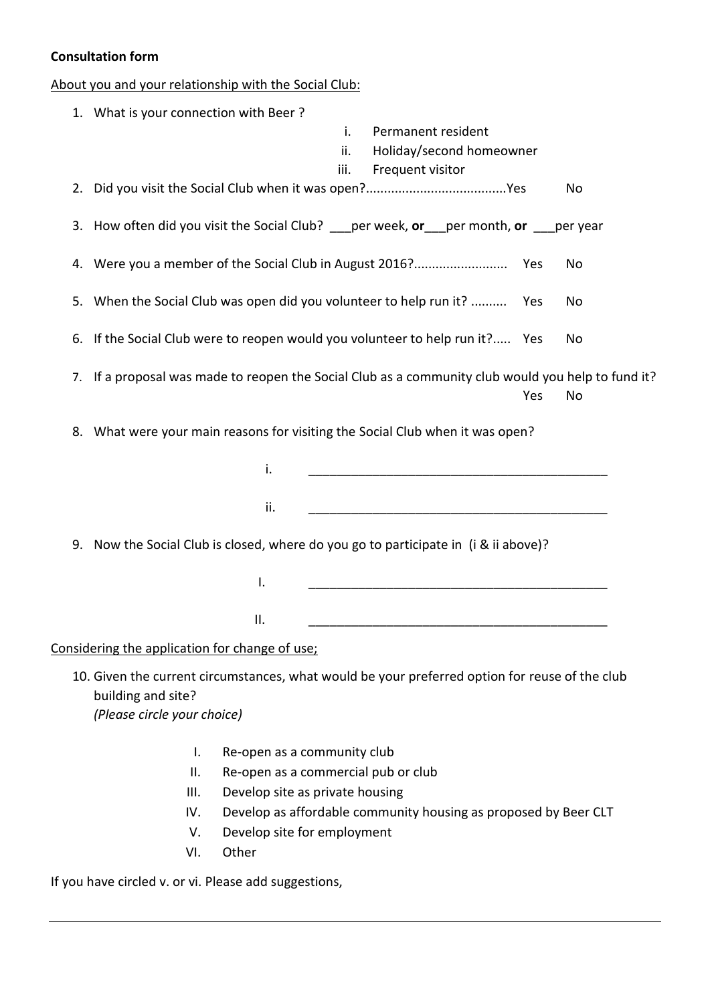## **Consultation form**

About you and your relationship with the Social Club:

|    | 1. What is your connection with Beer?                                                                                |
|----|----------------------------------------------------------------------------------------------------------------------|
|    | i.<br>Permanent resident                                                                                             |
|    | ii.<br>Holiday/second homeowner                                                                                      |
|    | iii.<br>Frequent visitor                                                                                             |
| 2. | No                                                                                                                   |
|    | 3. How often did you visit the Social Club? __ per week, or __ per month, or __ per year                             |
|    | No                                                                                                                   |
| 5. | When the Social Club was open did you volunteer to help run it?<br>Yes<br>No                                         |
|    | 6. If the Social Club were to reopen would you volunteer to help run it? Yes<br>No                                   |
|    | 7. If a proposal was made to reopen the Social Club as a community club would you help to fund it?                   |
|    | Yes<br>No                                                                                                            |
|    | 8. What were your main reasons for visiting the Social Club when it was open?                                        |
|    |                                                                                                                      |
|    | i.                                                                                                                   |
|    | ii.                                                                                                                  |
|    | 9. Now the Social Club is closed, where do you go to participate in (i & ii above)?                                  |
|    | I.                                                                                                                   |
|    | II.                                                                                                                  |
|    | Considering the application for change of use;                                                                       |
|    | 10. Given the current circumstances, what would be your preferred option for reuse of the club<br>building and site? |
|    | (Please circle your choice)                                                                                          |
|    |                                                                                                                      |
|    | Re-open as a community club<br>I.                                                                                    |
|    | Re-open as a commercial pub or club<br>$\mathbf{II}$ .                                                               |
|    | Ш.<br>Develop site as private housing                                                                                |
|    | Develop as affordable community housing as proposed by Beer CLT<br>IV.                                               |
|    | Develop site for employment<br>V.                                                                                    |
|    | Other<br>VI.                                                                                                         |

If you have circled v. or vi. Please add suggestions,